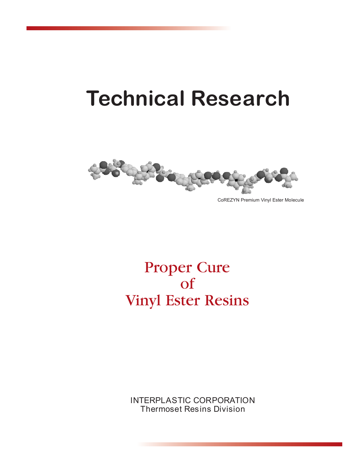# **Technical Research**



CoREZYN Premium Vinyl Ester Molecule

## Proper Cure of Vinyl Ester Resins

INTERPLASTIC CORPORATION Thermoset Resins Division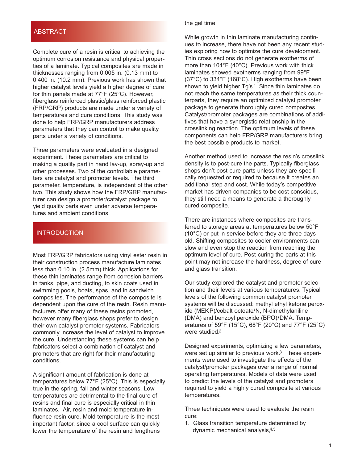#### **ABSTRACT**

Complete cure of a resin is critical to achieving the optimum corrosion resistance and physical properties of a laminate. Typical composites are made in thicknesses ranging from 0.005 in. (0.13 mm) to 0.400 in. (10.2 mm). Previous work has shown that higher catalyst levels yield a higher degree of cure for thin panels made at 77°F (25°C). However, fiberglass reinforced plastic/glass reinforced plastic (FRP/GRP) products are made under a variety of temperatures and cure conditions. This study was done to help FRP/GRP manufacturers address parameters that they can control to make quality parts under a variety of conditions.

Three parameters were evaluated in a designed experiment. These parameters are critical to making a quality part in hand lay-up, spray-up and other processes. Two of the controllable parameters are catalyst and promoter levels. The third parameter, temperature, is independent of the other two. This study shows how the FRP/GRP manufacturer can design a promoter/catalyst package to yield quality parts even under adverse temperatures and ambient conditions.

#### INTRODUCTION

Most FRP/GRP fabricators using vinyl ester resin in their construction process manufacture laminates less than 0.10 in. (2.5mm) thick. Applications for these thin laminates range from corrosion barriers in tanks, pipe, and ducting, to skin coats used in swimming pools, boats, spas, and in sandwich composites. The performance of the composite is dependent upon the cure of the resin. Resin manufacturers offer many of these resins promoted, however many fiberglass shops prefer to design their own catalyst promoter systems. Fabricators commonly increase the level of catalyst to improve the cure. Understanding these systems can help fabricators select a combination of catalyst and promoters that are right for their manufacturing conditions.

A significant amount of fabrication is done at temperatures below 77°F (25°C). This is especially true in the spring, fall and winter seasons. Low temperatures are detrimental to the final cure of resins and final cure is especially critical in thin laminates. Air, resin and mold temperature influence resin cure. Mold temperature is the most important factor, since a cool surface can quickly lower the temperature of the resin and lengthens

the gel time.

While growth in thin laminate manufacturing continues to increase, there have not been any recent studies exploring how to optimize the cure development. Thin cross sections do not generate exotherms of more than 104°F (40°C). Previous work with thick laminates showed exotherms ranging from 99°F (37°C) to 334°F (168°C). High exotherms have been shown to yield higher Tg's.<sup>1</sup> Since thin laminates do not reach the same temperatures as their thick counterparts, they require an optimized catalyst promoter package to generate thoroughly cured composites. Catalyst/promoter packages are combinations of additives that have a synergistic relationship in the crosslinking reaction. The optimum levels of these components can help FRP/GRP manufacturers bring the best possible products to market.

Another method used to increase the resin's crosslink density is to post-cure the parts. Typically fiberglass shops don't post-cure parts unless they are specifically requested or required to because it creates an additional step and cost. While today's competitive market has driven companies to be cost conscious, they still need a means to generate a thoroughly cured composite.

There are instances where composites are transferred to storage areas at temperatures below 50°F (10°C) or put in service before they are three days old. Shifting composites to cooler environments can slow and even stop the reaction from reaching the optimum level of cure. Post-curing the parts at this point may not increase the hardness, degree of cure and glass transition.

Our study explored the catalyst and promoter selection and their levels at various temperatures. Typical levels of the following common catalyst promoter systems will be discussed: methyl ethyl ketone peroxide (MEKP)/cobalt octoate/N, N-dimethylaniline (DMA) and benzoyl peroxide (BPO)/DMA. Temperatures of 59°F (15°C), 68°F (20°C) and 77°F (25°C) were studied.2

Designed experiments, optimizing a few parameters, were set up similar to previous work.<sup>3</sup> These experiments were used to investigate the effects of the catalyst/promoter packages over a range of normal operating temperatures. Models of data were used to predict the levels of the catalyst and promoters required to yield a highly cured composite at various temperatures.

Three techniques were used to evaluate the resin cure:

1. Glass transition temperature determined by dynamic mechanical analysis,4,5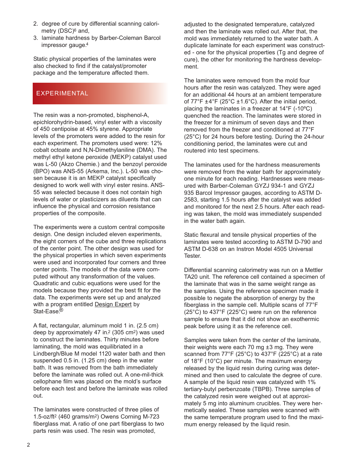- 2. degree of cure by differential scanning calorimetry (DSC)<sup>6</sup> and,
- 3. laminate hardness by Barber-Coleman Barcol impressor gauge.4

Static physical properties of the laminates were also checked to find if the catalyst/promoter package and the temperature affected them.

### EXPERIMENTAL

The resin was a non-promoted, bisphenol-A, epichlorohydrin-based, vinyl ester with a viscosity of 450 centipoise at 45% styrene. Appropriate levels of the promoters were added to the resin for each experiment. The promoters used were: 12% cobalt octoate and N,N-Dimethylaniline (DMA). The methyl ethyl ketone peroxide (MEKP) catalyst used was L-50 (Akzo Chemie.) and the benzoyl peroxide (BPO) was ANS-55 (Arkema, Inc.). L-50 was chosen because it is an MEKP catalyst specifically designed to work well with vinyl ester resins. ANS-55 was selected because it does not contain high levels of water or plasticizers as diluents that can influence the physical and corrosion resistance properties of the composite.

The experiments were a custom central composite design. One design included eleven experiments, the eight corners of the cube and three replications of the center point. The other design was used for the physical properties in which seven experiments were used and incorporated four corners and three center points. The models of the data were computed without any transformation of the values. Quadratic and cubic equations were used for the models because they provided the best fit for the data. The experiments were set up and analyzed with a program entitled Design Expert by Stat-Ease.<sup>®</sup>

A flat, rectangular, aluminum mold 1 in. (2.5 cm) deep by approximately 47 in.2 (305 cm2) was used to construct the laminates. Thirty minutes before laminating, the mold was equilibriated in a Lindbergh/Blue M model 1120 water bath and then suspended 0.5 in. (1.25 cm) deep in the water bath. It was removed from the bath immediately before the laminate was rolled out. A one-mil-thick cellophane film was placed on the mold's surface before each test and before the laminate was rolled out.

The laminates were constructed of three plies of 1.5-oz/ft2 (460 grams/m2) Owens Corning M-723 fiberglass mat. A ratio of one part fiberglass to two parts resin was used. The resin was promoted,

adjusted to the designated temperature, catalyzed and then the laminate was rolled out. After that, the mold was immediately returned to the water bath. A duplicate laminate for each experiment was constructed - one for the physical properties (Tg and degree of cure), the other for monitoring the hardness development.

The laminates were removed from the mold four hours after the resin was catalyzed. They were aged for an additional 44 hours at an ambient temperature of  $77^{\circ}$ F ±4°F (25°C ±1.6°C). After the initial period, placing the laminates in a freezer at 14°F (-10ºC) quenched the reaction. The laminates were stored in the freezer for a minimum of seven days and then removed from the freezer and conditioned at 77°F (25°C) for 24 hours before testing. During the 24-hour conditioning period, the laminates were cut and routered into test specimens.

The laminates used for the hardness measurements were removed from the water bath for approximately one minute for each reading. Hardnesses were measured with Barber-Coleman GYZJ 934-1 and GYZJ 935 Barcol Impressor gauges, according to ASTM D-2583, starting 1.5 hours after the catalyst was added and monitored for the next 2.5 hours. After each reading was taken, the mold was immediately suspended in the water bath again.

Static flexural and tensile physical properties of the laminates were tested according to ASTM D-790 and ASTM D-638 on an Instron Model 4505 Universal Tester.

Differential scanning calorimetry was run on a Mettler TA20 unit. The reference cell contained a specimen of the laminate that was in the same weight range as the samples. Using the reference specimen made it possible to negate the absorption of energy by the fiberglass in the sample cell. Multiple scans of 77°F (25°C) to 437°F (225°C) were run on the reference sample to ensure that it did not show an exothermic peak before using it as the reference cell.

Samples were taken from the center of the laminate, their weights were each 70 mg ±3 mg. They were scanned from 77°F (25°C) to 437°F (225°C) at a rate of 18°F (10°C) per minute. The maximum energy released by the liquid resin during curing was determined and then used to calculate the degree of cure. A sample of the liquid resin was catalyzed with 1% tertiary-butyl perbenzoate (TBPB). Three samples of the catalyzed resin were weighed out at approximately 5 mg into aluminum crucibles. They were hermetically sealed. These samples were scanned with the same temperature program used to find the maximum energy released by the liquid resin.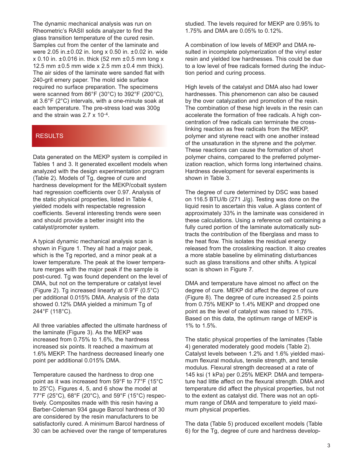The dynamic mechanical analysis was run on Rheometric's RASII solids analyzer to find the glass transition temperature of the cured resin. Samples cut from the center of the laminate and were 2.05 in.±0.02 in. long x 0.50 in. ±0.02 in. wide  $x$  0.10 in.  $\pm$ 0.016 in. thick (52 mm  $\pm$ 0.5 mm long x 12.5 mm  $\pm 0.5$  mm wide x 2.5 mm  $\pm 0.4$  mm thick). The air sides of the laminate were sanded flat with 240-grit emery paper. The mold side surface required no surface preparation. The specimens were scanned from 86°F (30°C) to 392°F (200°C), at 3.6°F (2°C) intervals, with a one-minute soak at each temperature. The pre-stress load was 300g and the strain was 2.7 x 10-4.

#### **RESULTS**

Data generated on the MEKP system is compiled in Tables 1 and 3. It generated excellent models when analyzed with the design experimentation program (Table 2). Models of Tg, degree of cure and hardness development for the MEKP/cobalt system had regression coefficients over 0.97. Analysis of the static physical properties, listed in Table 4, yielded models with respectable regression coefficients. Several interesting trends were seen and should provide a better insight into the catalyst/promoter system.

A typical dynamic mechanical analysis scan is shown in Figure 1. They all had a major peak, which is the Tg reported, and a minor peak at a lower temperature. The peak at the lower temperature merges with the major peak if the sample is post-cured. Tg was found dependent on the level of DMA, but not on the temperature or catalyst level (Figure 2). Tg increased linearly at 0.9°F (0.5°C) per additional 0.015% DMA. Analysis of the data showed 0.12% DMA yielded a minimum Tg of 244°F (118°C).

All three variables affected the ultimate hardness of the laminate (Figure 3). As the MEKP was increased from 0.75% to 1.6%, the hardness increased six points. It reached a maximum at 1.6% MEKP. The hardness decreased linearly one point per additional 0.015% DMA.

Temperature caused the hardness to drop one point as it was increased from 59°F to 77°F (15°C to 25°C). Figures 4, 5, and 6 show the model at 77°F (25°C), 68°F (20°C), and 59°F (15°C) respectively. Composites made with this resin having a Barber-Coleman 934 gauge Barcol hardness of 30 are considered by the resin manufacturers to be satisfactorily cured. A minimum Barcol hardness of 30 can be achieved over the range of temperatures studied. The levels required for MEKP are 0.95% to 1.75% and DMA are 0.05% to 0.12%.

A combination of low levels of MEKP and DMA resulted in incomplete polymerization of the vinyl ester resin and yielded low hardnesses. This could be due to a low level of free radicals formed during the induction period and curing process.

High levels of the catalyst and DMA also had lower hardnesses. This phenomenon can also be caused by the over catalyzation and promotion of the resin. The combination of these high levels in the resin can accelerate the formation of free radicals. A high concentration of free radicals can terminate the crosslinking reaction as free radicals from the MEKP, polymer and styrene react with one another instead of the unsaturation in the styrene and the polymer. These reactions can cause the formation of short polymer chains, compared to the preferred polymerization reaction, which forms long intertwined chains. Hardness development for several experiments is shown in Table 3.

The degree of cure determined by DSC was based on 116.5 BTU/lb (271 J/g). Testing was done on the liquid resin to ascertain this value. A glass content of approximately 33% in the laminate was considered in these calculations. Using a reference cell containing a fully cured portion of the laminate automatically subtracts the contribution of the fiberglass and mass to the heat flow. This isolates the residual energy released from the crosslinking reaction. It also creates a more stable baseline by eliminating disturbances such as glass transitions and other shifts. A typical scan is shown in Figure 7.

DMA and temperature have almost no affect on the degree of cure. MEKP did affect the degree of cure (Figure 8). The degree of cure increased 2.5 points from 0.75% MEKP to 1.4% MEKP and dropped one point as the level of catalyst was raised to 1.75%. Based on this data, the optimum range of MEKP is 1% to 1.5%.

The static physical properties of the laminates (Table 4) generated moderately good models (Table 2). Catalyst levels between 1.2% and 1.6% yielded maximum flexural modulus, tensile strength, and tensile modulus. Flexural strength decreased at a rate of 145 ksi (1 kPa) per 0.25% MEKP. DMA and temperature had little affect on the flexural strength. DMA and temperature did affect the physical properties, but not to the extent as catalyst did. There was not an optimum range of DMA and temperature to yield maximum physical properties.

The data (Table 5) produced excellent models (Table 6) for the Tg, degree of cure and hardness develop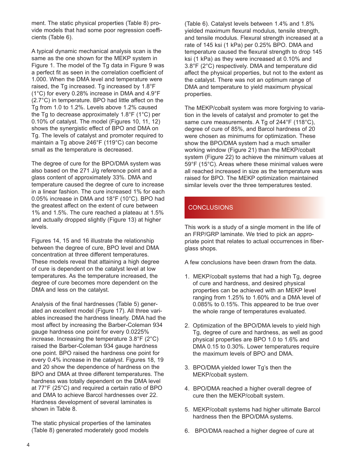ment. The static physical properties (Table 8) provide models that had some poor regression coefficients (Table 6).

A typical dynamic mechanical analysis scan is the same as the one shown for the MEKP system in Figure 1. The model of the Tg data in Figure 9 was a perfect fit as seen in the correlation coefficient of 1.000. When the DMA level and temperature were raised, the Tg increased. Tg increased by 1.8°F (1°C) for every 0.28% increase in DMA and 4.9°F (2.7°C) in temperature. BPO had little affect on the Tg from 1.0 to 1.2%. Levels above 1.2% caused the Tg to decrease approximately 1.8°F (1°C) per 0.10% of catalyst. The model (Figures 10, 11, 12) shows the synergistic effect of BPO and DMA on Tg. The levels of catalyst and promoter required to maintain a Tg above 246°F (119°C) can become small as the temperature is decreased.

The degree of cure for the BPO/DMA system was also based on the 271 J/g reference point and a glass content of approximately 33%. DMA and temperature caused the degree of cure to increase in a linear fashion. The cure increased 1% for each 0.05% increase in DMA and 18°F (10°C). BPO had the greatest affect on the extent of cure between 1% and 1.5%. The cure reached a plateau at 1.5% and actually dropped slightly (Figure 13) at higher levels.

Figures 14, 15 and 16 illustrate the relationship between the degree of cure, BPO level and DMA concentration at three different temperatures. These models reveal that attaining a high degree of cure is dependent on the catalyst level at low temperatures. As the temperature increased, the degree of cure becomes more dependent on the DMA and less on the catalyst.

Analysis of the final hardnesses (Table 5) generated an excellent model (Figure 17). All three variables increased the hardness linearly. DMA had the most affect by increasing the Barber-Coleman 934 gauge hardness one point for every 0.0225% increase. Increasing the temperature 3.8°F (2°C) raised the Barber-Coleman 934 gauge hardness one point. BPO raised the hardness one point for every 0.4% increase in the catalyst. Figures 18, 19 and 20 show the dependence of hardness on the BPO and DMA at three different temperatures. The hardness was totally dependent on the DMA level at 77°F (25°C) and required a certain ratio of BPO and DMA to achieve Barcol hardnesses over 22. Hardness development of several laminates is shown in Table 8.

The static physical properties of the laminates (Table 8) generated moderately good models

(Table 6). Catalyst levels between 1.4% and 1.8% yielded maximum flexural modulus, tensile strength, and tensile modulus. Flexural strength increased at a rate of 145 ksi (1 kPa) per 0.25% BPO. DMA and temperature caused the flexural strength to drop 145 ksi (1 kPa) as they were increased at 0.10% and 3.8°F (2°C) respectively. DMA and temperature did affect the physical properties, but not to the extent as the catalyst. There was not an optimum range of DMA and temperature to yield maximum physical properties.

The MEKP/cobalt system was more forgiving to variation in the levels of catalyst and promoter to get the same cure measurements. A Tg of 244°F (118°C), degree of cure of 85%, and Barcol hardness of 20 were chosen as minimums for optimization. These show the BPO/DMA system had a much smaller working window (Figure 21) than the MEKP/cobalt system (Figure 22) to achieve the minimum values at 59°F (15°C). Areas where these minimal values were all reached increased in size as the temperature was raised for BPO. The MEKP optimization maintained similar levels over the three temperatures tested.

### **CONCLUSIONS**

This work is a study of a single moment in the life of an FRP/GRP laminate. We tried to pick an appropriate point that relates to actual occurrences in fiberglass shops.

A few conclusions have been drawn from the data.

- 1. MEKP/cobalt systems that had a high Tg, degree of cure and hardness, and desired physical properties can be achieved with an MEKP level ranging from 1.25% to 1.60% and a DMA level of 0.085% to 0.15%. This appeared to be true over the whole range of temperatures evaluated.
- 2. Optimization of the BPO/DMA levels to yield high Tg, degree of cure and hardness, as well as good physical properties are BPO 1.0 to 1.6% and DMA 0.15 to 0.30%. Lower temperatures require the maximum levels of BPO and DMA.
- 3. BPO/DMA yielded lower Tg's then the MEKP/cobalt system.
- 4. BPO/DMA reached a higher overall degree of cure then the MEKP/cobalt system.
- 5. MEKP/cobalt systems had higher ultimate Barcol hardness then the BPO/DMA systems.
- 6. BPO/DMA reached a higher degree of cure at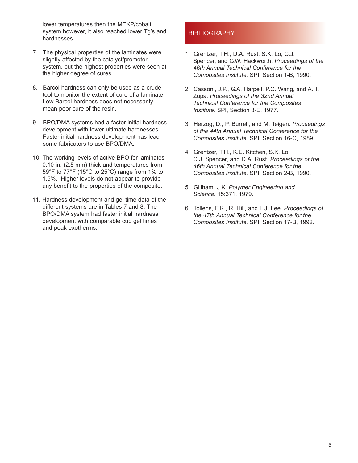lower temperatures then the MEKP/cobalt system however, it also reached lower Tg's and hardnesses.

- 7. The physical properties of the laminates were slightly affected by the catalyst/promoter system, but the highest properties were seen at the higher degree of cures.
- 8. Barcol hardness can only be used as a crude tool to monitor the extent of cure of a laminate. Low Barcol hardness does not necessarily mean poor cure of the resin.
- 9. BPO/DMA systems had a faster initial hardness development with lower ultimate hardnesses. Faster initial hardness development has lead some fabricators to use BPO/DMA.
- 10. The working levels of active BPO for laminates 0.10 in. (2.5 mm) thick and temperatures from 59°F to 77°F (15°C to 25°C) range from 1% to 1.5%. Higher levels do not appear to provide any benefit to the properties of the composite.
- 11. Hardness development and gel time data of the different systems are in Tables 7 and 8. The BPO/DMA system had faster initial hardness development with comparable cup gel times and peak exotherms.

#### **BIBLIOGRAPHY**

- 1. Grentzer, T.H., D.A. Rust, S.K. Lo, C.J. Spencer, and G.W. Hackworth. *Proceedings of the 46th Annual Technical Conference for the Composites Institute.* SPI, Section 1-B, 1990.
- 2. Cassoni, J.P., G.A. Harpell, P.C. Wang, and A.H. Zupa. *Proceedings of the 32nd Annual Technical Conference for the Composites Institute.* SPI, Section 3-E, 1977.
- 3. Herzog, D., P. Burrell, and M. Teigen. *Proceedings of the 44th Annual Technical Conference for the Composites Institute.* SPI, Section 16-C, 1989.
- 4. Grentzer, T.H., K.E. Kitchen, S.K. Lo, C.J. Spencer, and D.A. Rust. *Proceedings of the 46th Annual Technical Conference for the Composites Institute.* SPI, Section 2-B, 1990.
- 5. Gillham, J.K. *Polymer Engineering and Science*. 15:371, 1979.
- 6. Tollens, F.R., R. Hill, and L.J. Lee. *Proceedings of the 47th Annual Technical Conference for the Composites Institute.* SPI, Section 17-B, 1992.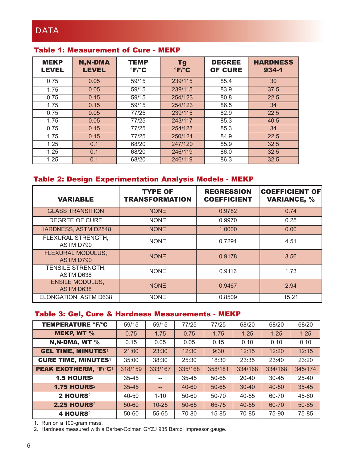### Table 1: Measurement of Cure - MEKP

| <b>MEKP</b><br><b>LEVEL</b> | N, N-DMA<br><b>LEVEL</b> | <b>TEMP</b><br>$\mathbf{F}/\mathbf{C}$ | <b>Tg</b><br>$\mathbf{F}/\mathbf{C}$ | <b>DEGREE</b><br><b>OF CURE</b> | <b>HARDNESS</b><br>934-1 |
|-----------------------------|--------------------------|----------------------------------------|--------------------------------------|---------------------------------|--------------------------|
| 0.75                        | 0.05                     | 59/15                                  | 239/115                              | 85.4                            | 30                       |
| 1.75                        | 0.05                     | 59/15                                  | 239/115                              | 83.9                            | 37.5                     |
| 0.75                        | 0.15                     | 59/15                                  | 254/123                              | 80.8                            | 22.5                     |
| 1.75                        | 0.15                     | 59/15                                  | 254/123                              | 86.5                            | 34                       |
| 0.75                        | 0.05                     | 77/25                                  | 239/115                              | 82.9                            | 22.5                     |
| 1.75                        | 0.05                     | 77/25                                  | 243/117                              | 85.3                            | 40.5                     |
| 0.75                        | 0.15                     | 77/25                                  | 254/123                              | 85.3                            | 34                       |
| 1.75                        | 0.15                     | 77/25                                  | 250/121                              | 84.9                            | 22.5                     |
| 1.25                        | 0.1                      | 68/20                                  | 247/120                              | 85.9                            | 32.5                     |
| 1.25                        | 0.1                      | 68/20                                  | 246/119                              | 86.0                            | 32.5                     |
| 1.25                        | 0.1                      | 68/20                                  | 246/119                              | 86.3                            | 32.5                     |

### Table 2: Design Experimentation Analysis Models - MEKP

| <b>VARIABLE</b>                             | <b>TYPE OF</b><br><b>TRANSFORMATION</b> | <b>REGRESSION</b><br><b>COEFFICIENT</b> | <b>COEFFICIENT OF</b><br><b>VARIANCE, %</b> |
|---------------------------------------------|-----------------------------------------|-----------------------------------------|---------------------------------------------|
| <b>GLASS TRANSITION</b>                     | <b>NONE</b>                             | 0.9782                                  | 0.74                                        |
| DEGREE OF CURE                              | <b>NONE</b>                             | 0.9970                                  | 0.25                                        |
| HARDNESS, ASTM D2548                        | <b>NONE</b>                             | 1.0000                                  | 0.00                                        |
| FLEXURAL STRENGTH,<br>ASTM D790             | <b>NONE</b>                             | 0.7291                                  | 4.51                                        |
| FLEXURAL MODULUS,<br><b>ASTM D790</b>       | <b>NONE</b>                             | 0.9178                                  | 3.56                                        |
| <b>TENSILE STRENGTH,</b><br>ASTM D638       | <b>NONE</b>                             | 0.9116                                  | 1.73                                        |
| <b>TENSILE MODULUS,</b><br><b>ASTM D638</b> | <b>NONE</b>                             | 0.9467                                  | 2.94                                        |
| ELONGATION, ASTM D638                       | <b>NONE</b>                             | 0.8509                                  | 15.21                                       |

### Table 3: Gel, Cure & Hardness Measurements - MEKP

| <b>TEMPERATURE °F/°C</b>     | 59/15     | 59/15     | 77/25     | 77/25     | 68/20     | 68/20     | 68/20     |
|------------------------------|-----------|-----------|-----------|-----------|-----------|-----------|-----------|
| <b>MEKP, WT %</b>            | 0.75      | 1.75      | 0.75      | 1.75      | 1.25      | 1.25      | 1.25      |
| N,N-DMA, WT %                | 0.15      | 0.05      | 0.05      | 0.15      | 0.10      | 0.10      | 0.10      |
| <b>GEL TIME, MINUTES1</b>    | 21:00     | 23:30     | 12:30     | 9:30      | 12:15     | 12:20     | 12:15     |
| <b>CURE TIME, MINUTES1</b>   | 35:00     | 38:30     | 25:30     | 18:30     | 23:35     | 23:40     | 23:20     |
| <b>PEAK EXOTHERM, °F/°C1</b> | 318/159   | 333/167   | 335/168   | 358/181   | 334/168   | 334/168   | 345/174   |
| <b>1.5 HOURS2</b>            | $35 - 45$ |           | $35 - 45$ | $50 - 65$ | 20-40     | $30 - 45$ | $25 - 40$ |
| <b>1.75 HOURS2</b>           | $35 - 45$ |           | $40 - 60$ | $50 - 65$ | $30 - 40$ | $40 - 50$ | $35 - 45$ |
| 2 HOURS <sup>2</sup>         | 40-50     | $1 - 10$  | 50-60     | 50-70     | 40-55     | 60-70     | 45-60     |
| <b>2.25 HOURS2</b>           | 50-60     | $10 - 25$ | 50-65     | 65-75     | 40-55     | 60-70     | 50-65     |
| 4 HOURS <sup>2</sup>         | 50-60     | 55-65     | 70-80     | $15 - 85$ | 70-85     | 75-90     | 75-85     |

1. Run on a 100-gram mass.

2. Hardness measured with a Barber-Colman GYZJ 935 Barcol Impressor gauge.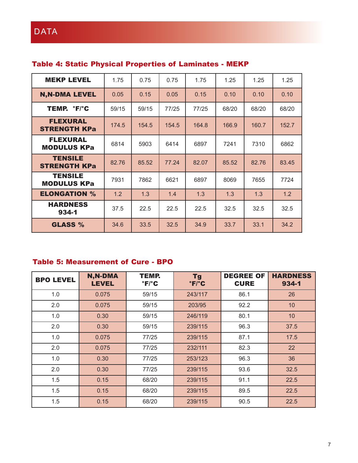| <b>MEKP LEVEL</b>                     | 1.75  | 0.75  | 0.75  | 1.75  | 1.25  | 1.25  | 1.25  |
|---------------------------------------|-------|-------|-------|-------|-------|-------|-------|
| <b>N,N-DMA LEVEL</b>                  | 0.05  | 0.15  | 0.05  | 0.15  | 0.10  | 0.10  | 0.10  |
| TEMP. °F/°C                           | 59/15 | 59/15 | 77/25 | 77/25 | 68/20 | 68/20 | 68/20 |
| FLEXURAL<br><b>STRENGTH KPa</b>       | 174.5 | 154.5 | 154.5 | 164.8 | 166.9 | 160.7 | 152.7 |
| <b>FLEXURAL</b><br><b>MODULUS KPa</b> | 6814  | 5903  | 6414  | 6897  | 7241  | 7310  | 6862  |
| <b>TENSILE</b><br><b>STRENGTH KPa</b> | 82.76 | 85.52 | 77.24 | 82.07 | 85.52 | 82.76 | 83.45 |
| <b>TENSILE</b><br><b>MODULUS KPa</b>  | 7931  | 7862  | 6621  | 6897  | 8069  | 7655  | 7724  |
| <b>ELONGATION %</b>                   | 1.2   | 1.3   | 1.4   | 1.3   | 1.3   | 1.3   | 1.2   |
| <b>HARDNESS</b><br>$934 - 1$          | 37.5  | 22.5  | 22.5  | 22.5  | 32.5  | 32.5  | 32.5  |
| <b>GLASS %</b>                        | 34.6  | 33.5  | 32.5  | 34.9  | 33.7  | 33.1  | 34.2  |

### Table 4: Static Physical Properties of Laminates - MEKP

### Table 5: Measurement of Cure - BPO

| <b>BPO LEVEL</b> | N, N-DMA<br><b>LEVEL</b> | <b>TEMP.</b><br>$\mathbf{F}/\mathbf{C}$ | <b>Tg</b><br>$\degree$ F/ $\degree$ C | <b>DEGREE OF</b><br><b>CURE</b> | <b>HARDNESS</b><br>934-1 |
|------------------|--------------------------|-----------------------------------------|---------------------------------------|---------------------------------|--------------------------|
| 1.0              | 0.075                    | 59/15                                   | 243/117                               | 86.1                            | 26                       |
| 2.0              | 0.075                    | 59/15                                   | 203/95                                | 92.2                            | 10                       |
| 1.0              | 0.30                     | 59/15                                   | 246/119                               | 80.1                            | 10                       |
| 2.0              | 0.30                     | 59/15                                   | 239/115                               | 96.3                            | 37.5                     |
| 1.0              | 0.075                    | 77/25                                   | 239/115                               | 87.1                            | 17.5                     |
| 2.0              | 0.075                    | 77/25                                   | 232/111                               | 82.3                            | 22                       |
| 1.0              | 0.30                     | 77/25                                   | 253/123                               | 96.3                            | 36                       |
| 2.0              | 0.30                     | 77/25                                   | 239/115                               | 93.6                            | 32.5                     |
| 1.5              | 0.15                     | 68/20                                   | 239/115                               | 91.1                            | 22.5                     |
| 1.5              | 0.15                     | 68/20                                   | 239/115                               | 89.5                            | 22.5                     |
| 1.5              | 0.15                     | 68/20                                   | 239/115                               | 90.5                            | 22.5                     |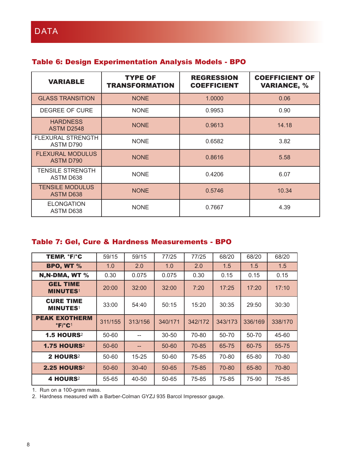| <b>VARIABLE</b>                            | <b>TYPE OF</b><br><b>TRANSFORMATION</b> | <b>REGRESSION</b><br><b>COEFFICIENT</b> | <b>COEFFICIENT OF</b><br><b>VARIANCE, %</b> |
|--------------------------------------------|-----------------------------------------|-----------------------------------------|---------------------------------------------|
| <b>GLASS TRANSITION</b>                    | <b>NONE</b>                             | 1.0000                                  | 0.06                                        |
| DEGREE OF CURE                             | <b>NONE</b>                             | 0.9953                                  | 0.90                                        |
| <b>HARDNESS</b><br>ASTM D2548              | <b>NONE</b>                             | 0.9613                                  | 14.18                                       |
| <b>FLEXURAL STRENGTH</b><br>ASTM D790      | <b>NONE</b>                             | 0.6582                                  | 3.82                                        |
| <b>FLEXURAL MODULUS</b><br>ASTM D790       | <b>NONE</b>                             | 0.8616                                  | 5.58                                        |
| <b>TENSILE STRENGTH</b><br>ASTM D638       | <b>NONE</b>                             | 0.4206                                  | 6.07                                        |
| <b>TENSILE MODULUS</b><br><b>ASTM D638</b> | <b>NONE</b>                             | 0.5746                                  | 10.34                                       |
| <b>ELONGATION</b><br>ASTM D638             | <b>NONE</b>                             | 0.7667                                  | 4.39                                        |

### Table 6: Design Experimentation Analysis Models - BPO

### Table 7: Gel, Cure & Hardness Measurements - BPO

| TEMP. °F/°C                                                     | 59/15   | 59/15     | 77/25     | 77/25   | 68/20   | 68/20   | 68/20   |
|-----------------------------------------------------------------|---------|-----------|-----------|---------|---------|---------|---------|
| <b>BPO, WT %</b>                                                | 1.0     | 2.0       | 1.0       | 2.0     | 1.5     | 1.5     | 1.5     |
| N, N-DMA, WT %                                                  | 0.30    | 0.075     | 0.075     | 0.30    | 0.15    | 0.15    | 0.15    |
| <b>GEL TIME</b><br><b>MINUTES1</b>                              | 20:00   | 32:00     | 32:00     | 7:20    | 17:25   | 17:20   | 17:10   |
| <b>CURE TIME</b><br><b>MINUTES1</b>                             | 33:00   | 54:40     | 50:15     | 15:20   | 30:35   | 29:50   | 30:30   |
| <b>PEAK EXOTHERM</b><br>$^{\circ}$ F/ $^{\circ}$ C <sup>1</sup> | 311/155 | 313/156   | 340/171   | 342/172 | 343/173 | 336/169 | 338/170 |
| <b>1.5 HOURS2</b>                                               | 50-60   |           | $30 - 50$ | 70-80   | 50-70   | 50-70   | 45-60   |
| <b>1.75 HOURS2</b>                                              | 50-60   | --        | $50 - 60$ | 70-85   | 65-75   | 60-75   | 55-75   |
| 2 HOURS <sup>2</sup>                                            | 50-60   | $15 - 25$ | $50 - 60$ | 75-85   | 70-80   | 65-80   | 70-80   |
| <b>2.25 HOURS</b> <sup>2</sup>                                  | 50-60   | $30 - 40$ | $50 - 65$ | 75-85   | 70-80   | 65-80   | 70-80   |
| 4 HOURS <sup>2</sup>                                            | 55-65   | 40-50     | 50-65     | 75-85   | 75-85   | 75-90   | 75-85   |

1. Run on a 100-gram mass.

2. Hardness measured with a Barber-Colman GYZJ 935 Barcol Impressor gauge.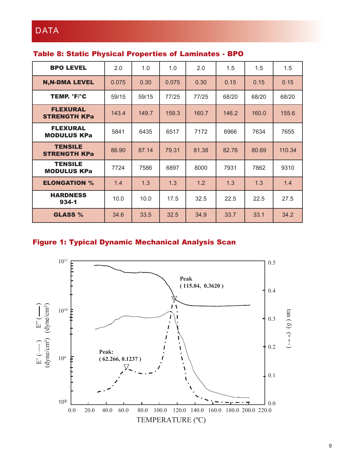| <b>BPO LEVEL</b>                       | 2.0   | 1.0   | 1.0   | 2.0   | 1.5   | 1.5   | 1.5    |
|----------------------------------------|-------|-------|-------|-------|-------|-------|--------|
| <b>N,N-DMA LEVEL</b>                   | 0.075 | 0.30  | 0.075 | 0.30  | 0.15  | 0.15  | 0.15   |
| TEMP. 'F/'C                            | 59/15 | 59/15 | 77/25 | 77/25 | 68/20 | 68/20 | 68/20  |
| <b>FLEXURAL</b><br><b>STRENGTH KPa</b> | 143.4 | 149.7 | 159.3 | 160.7 | 146.2 | 160.0 | 155.6  |
| <b>FLEXURAL</b><br><b>MODULUS KPa</b>  | 5841  | 6435  | 6517  | 7172  | 6966  | 7634  | 7655   |
| <b>TENSILE</b><br><b>STRENGTH KPa</b>  | 86.90 | 87.14 | 79.31 | 81.38 | 82.76 | 80.69 | 110.34 |
| <b>TENSILE</b><br><b>MODULUS KPa</b>   | 7724  | 7586  | 6897  | 8000  | 7931  | 7862  | 9310   |
| <b>ELONGATION %</b>                    | 1.4   | 1.3   | 1.3   | 1.2   | 1.3   | 1.3   | 1.4    |
| <b>HARDNESS</b><br>$934 - 1$           | 10.0  | 10.0  | 17.5  | 32.5  | 22.5  | 22.5  | 27.5   |
| <b>GLASS %</b>                         | 34.6  | 33.5  | 32.5  | 34.9  | 33.7  | 33.1  | 34.2   |

### Figure 1: Typical Dynamic Mechanical Analysis Scan

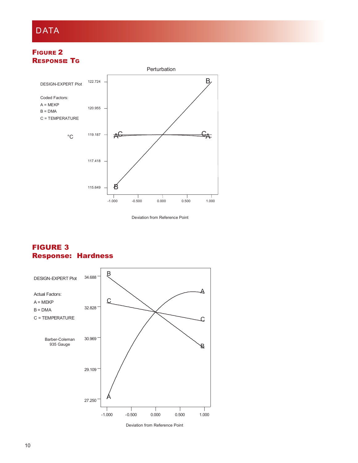#### FIGURE 2 **RESPONSE TG**



Deviation from Reference Point

#### FIGURE 3 Response: Hardness



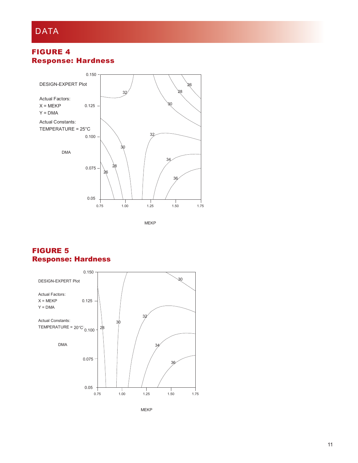### FIGURE 4 Response: Hardness



MEKP

### FIGURE 5 Response: Hardness



MEKP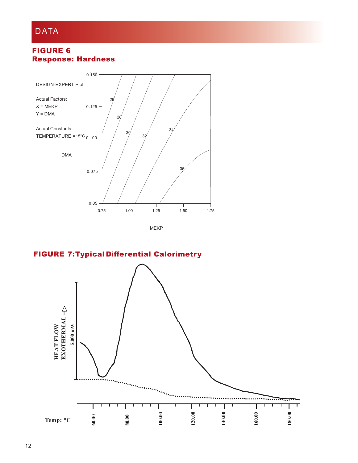### FIGURE 6 Response: Hardness



FIGURE 7:Typical Differential Calorimetry

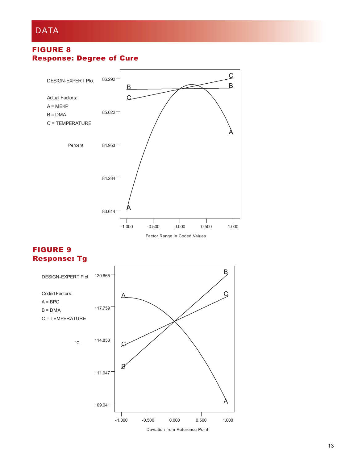#### FIGURE 8 Response: Degree of Cure



### FIGURE 9 Response: Tg

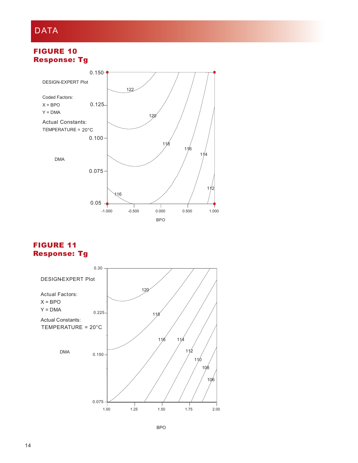#### FIGURE 10 Response: Tg



#### FIGURE 11 Response: Tg

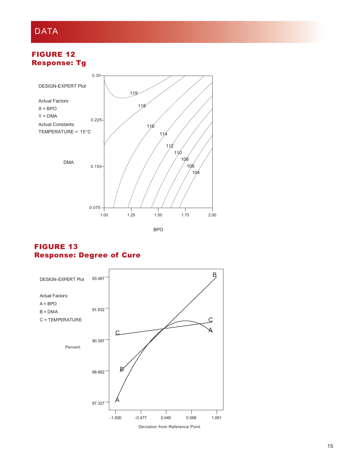### FIGURE 12 Response: Tg



#### FIGURE 13 Response: Degree of Cure



Deviation from Reference Point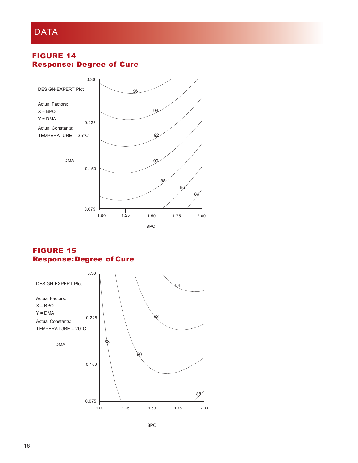### FIGURE 14 Response: Degree of Cure



### FIGURE 15 Response:Degree of Cure

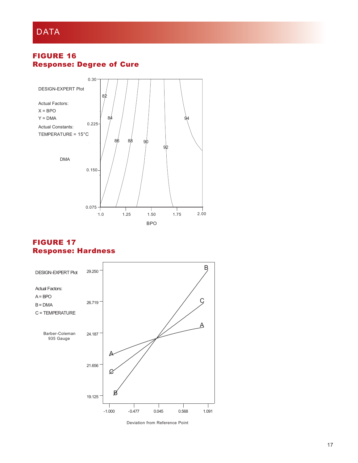### FIGURE 16 Response: Degree of Cure



#### FIGURE 17 Response: Hardness



Deviation from Reference Point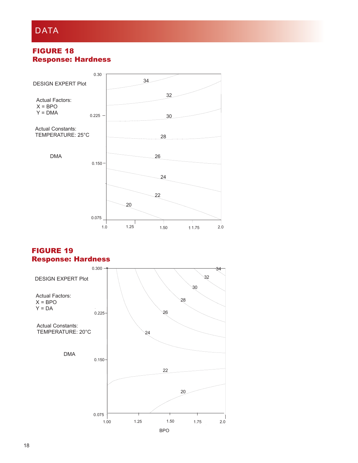### FIGURE 18 Response: Hardness



#### FIGURE 19 Response: Hardness

![](_page_18_Figure_4.jpeg)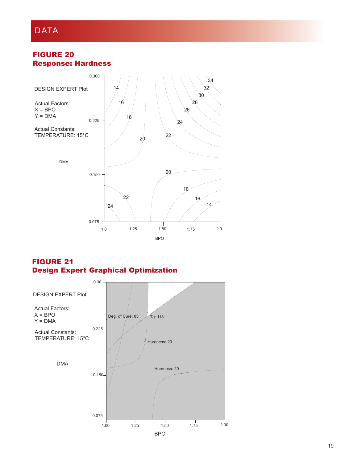### FIGURE 20 Response: Hardness

![](_page_19_Figure_2.jpeg)

FIGURE 21 Design Expert Graphical Optimization

![](_page_19_Figure_4.jpeg)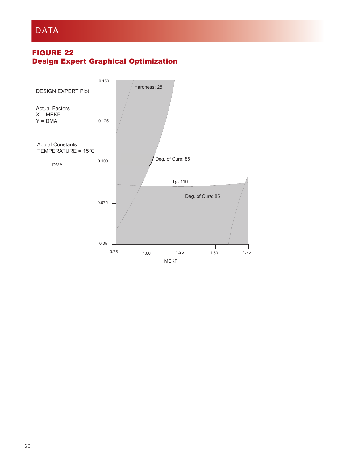### FIGURE 22 Design Expert Graphical Optimization

![](_page_20_Figure_2.jpeg)